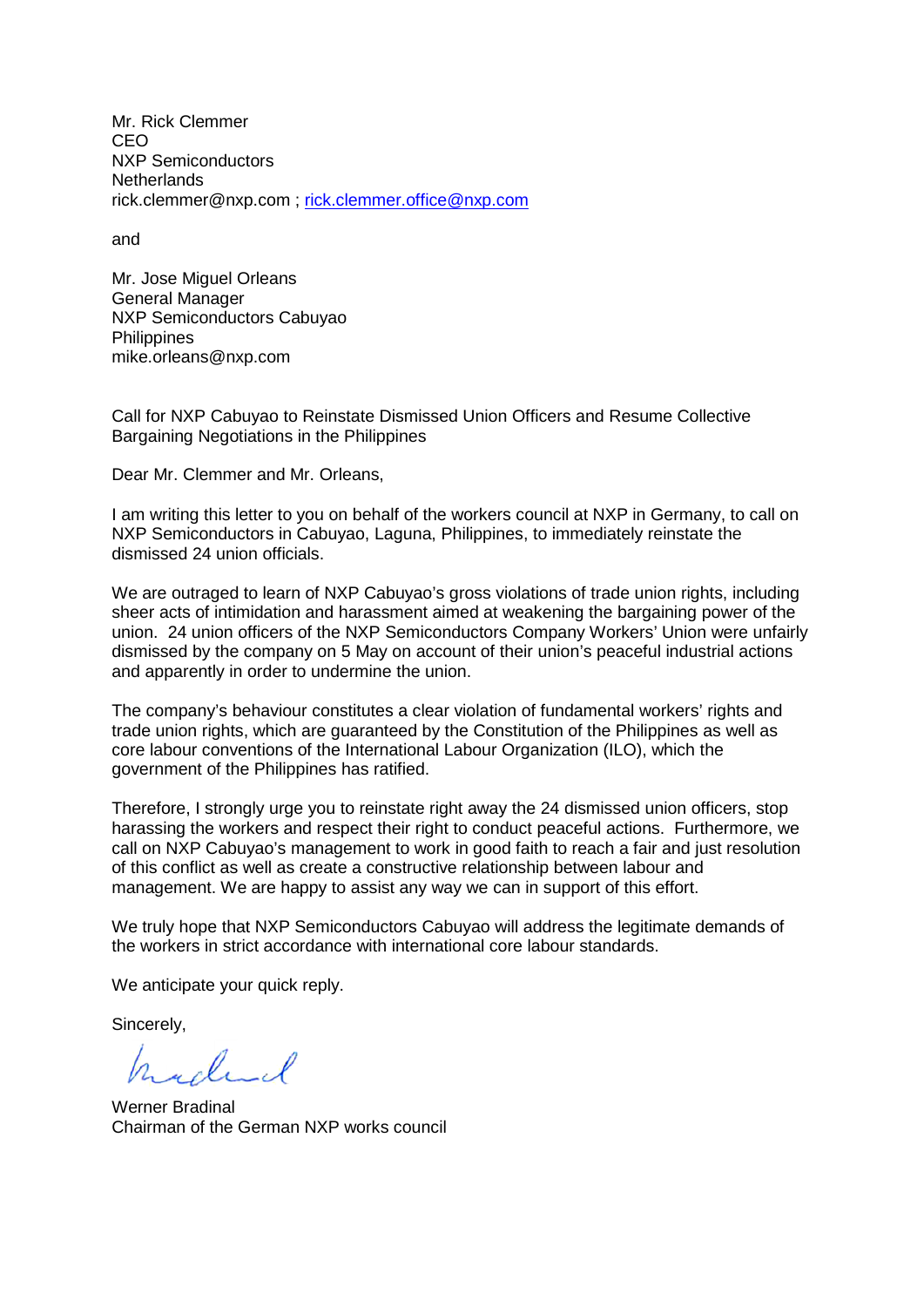Mr. Rick Clemmer CEO NXP Semiconductors **Netherlands** rick.clemmer@nxp.com ; [rick.clemmer.office@nxp.com](mailto:rick.clemmer.office@nxp.com)

and

Mr. Jose Miguel Orleans General Manager NXP Semiconductors Cabuyao **Philippines** mike.orleans@nxp.com

Call for NXP Cabuyao to Reinstate Dismissed Union Officers and Resume Collective Bargaining Negotiations in the Philippines

Dear Mr. Clemmer and Mr. Orleans,

I am writing this letter to you on behalf of the workers council at NXP in Germany, to call on NXP Semiconductors in Cabuyao, Laguna, Philippines, to immediately reinstate the dismissed 24 union officials.

We are outraged to learn of NXP Cabuyao's gross violations of trade union rights, including sheer acts of intimidation and harassment aimed at weakening the bargaining power of the union. 24 union officers of the NXP Semiconductors Company Workers' Union were unfairly dismissed by the company on 5 May on account of their union's peaceful industrial actions and apparently in order to undermine the union.

The company's behaviour constitutes a clear violation of fundamental workers' rights and trade union rights, which are guaranteed by the Constitution of the Philippines as well as core labour conventions of the International Labour Organization (ILO), which the government of the Philippines has ratified.

Therefore, I strongly urge you to reinstate right away the 24 dismissed union officers, stop harassing the workers and respect their right to conduct peaceful actions. Furthermore, we call on NXP Cabuyao's management to work in good faith to reach a fair and just resolution of this conflict as well as create a constructive relationship between labour and management. We are happy to assist any way we can in support of this effort.

We truly hope that NXP Semiconductors Cabuyao will address the legitimate demands of the workers in strict accordance with international core labour standards.

We anticipate your quick reply.

Sincerely,

hadel

Werner Bradinal Chairman of the German NXP works council